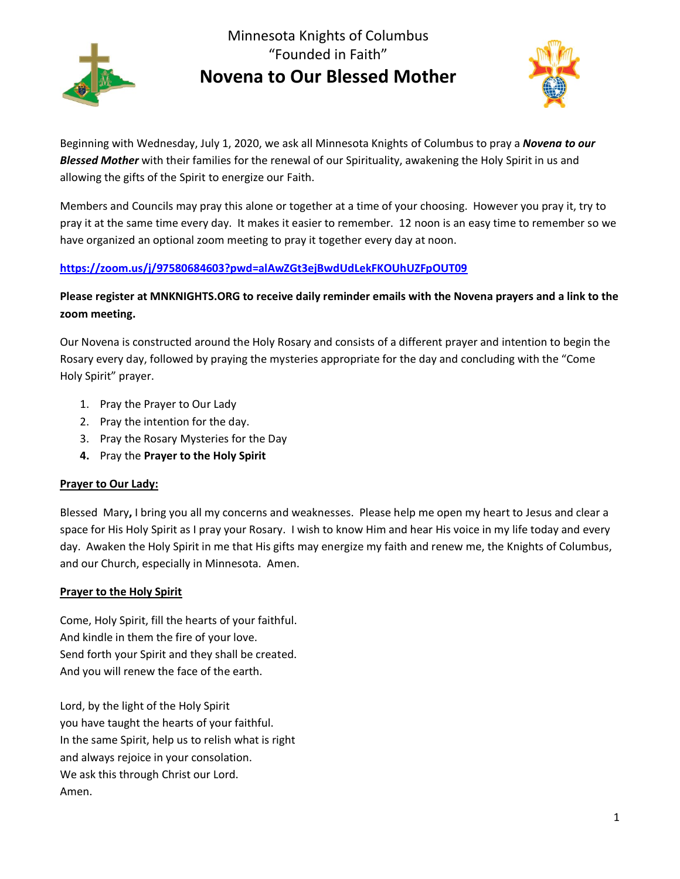

Minnesota Knights of Columbus "Founded in Faith" **Novena to Our Blessed Mother** 



Beginning with Wednesday, July 1, 2020, we ask all Minnesota Knights of Columbus to pray a *Novena to our Blessed Mother* with their families for the renewal of our Spirituality, awakening the Holy Spirit in us and allowing the gifts of the Spirit to energize our Faith.

Members and Councils may pray this alone or together at a time of your choosing. However you pray it, try to pray it at the same time every day. It makes it easier to remember. 12 noon is an easy time to remember so we have organized an optional zoom meeting to pray it together every day at noon.

# **<https://zoom.us/j/97580684603?pwd=alAwZGt3ejBwdUdLekFKOUhUZFpOUT09>**

# **Please register at MNKNIGHTS.ORG to receive daily reminder emails with the Novena prayers and a link to the zoom meeting.**

Our Novena is constructed around the Holy Rosary and consists of a different prayer and intention to begin the Rosary every day, followed by praying the mysteries appropriate for the day and concluding with the "Come Holy Spirit" prayer.

- 1. Pray the Prayer to Our Lady
- 2. Pray the intention for the day.
- 3. Pray the Rosary Mysteries for the Day
- **4.** Pray the **Prayer to the Holy Spirit**

#### **Prayer to Our Lady:**

Blessed Mary**,** I bring you all my concerns and weaknesses. Please help me open my heart to Jesus and clear a space for His Holy Spirit as I pray your Rosary. I wish to know Him and hear His voice in my life today and every day. Awaken the Holy Spirit in me that His gifts may energize my faith and renew me, the Knights of Columbus, and our Church, especially in Minnesota. Amen.

#### **Prayer to the Holy Spirit**

Come, Holy Spirit, fill the hearts of your faithful. And kindle in them the fire of your love. Send forth your Spirit and they shall be created. And you will renew the face of the earth.

Lord, by the light of the Holy Spirit you have taught the hearts of your faithful. In the same Spirit, help us to relish what is right and always rejoice in your consolation. We ask this through Christ our Lord. Amen.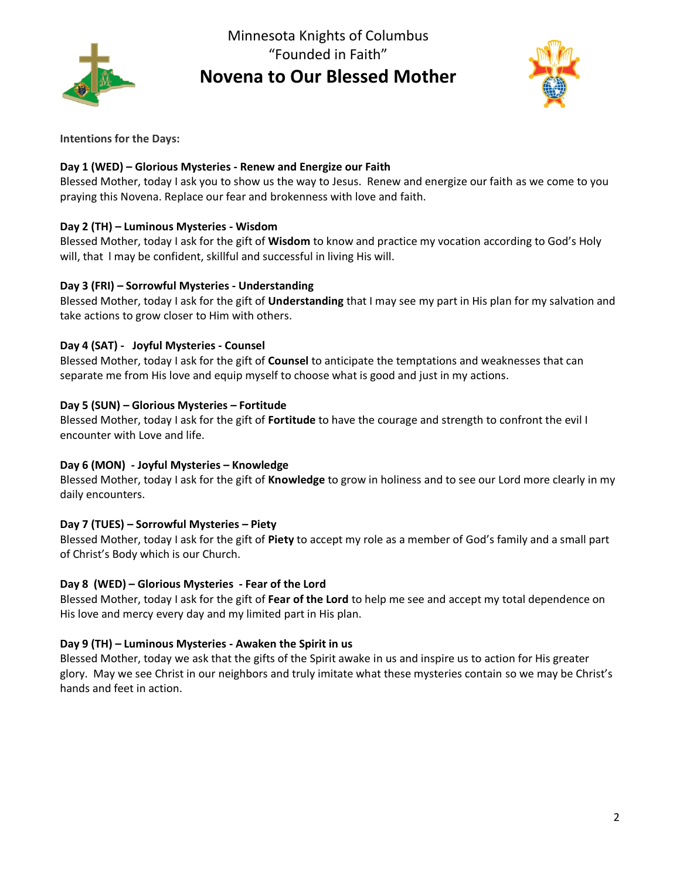

Minnesota Knights of Columbus "Founded in Faith" **Novena to Our Blessed Mother** 



**Intentions for the Days:**

#### **Day 1 (WED) – Glorious Mysteries - Renew and Energize our Faith**

Blessed Mother, today I ask you to show us the way to Jesus. Renew and energize our faith as we come to you praying this Novena. Replace our fear and brokenness with love and faith.

## **Day 2 (TH) – Luminous Mysteries - Wisdom**

Blessed Mother, today I ask for the gift of **Wisdom** to know and practice my vocation according to God's Holy will, that l may be confident, skillful and successful in living His will.

#### **Day 3 (FRI) – Sorrowful Mysteries - Understanding**

Blessed Mother, today I ask for the gift of **Understanding** that I may see my part in His plan for my salvation and take actions to grow closer to Him with others.

## **Day 4 (SAT) - Joyful Mysteries - Counsel**

Blessed Mother, today I ask for the gift of **Counsel** to anticipate the temptations and weaknesses that can separate me from His love and equip myself to choose what is good and just in my actions.

#### **Day 5 (SUN) – Glorious Mysteries – Fortitude**

Blessed Mother, today I ask for the gift of **Fortitude** to have the courage and strength to confront the evil I encounter with Love and life.

#### **Day 6 (MON) - Joyful Mysteries – Knowledge**

Blessed Mother, today I ask for the gift of **Knowledge** to grow in holiness and to see our Lord more clearly in my daily encounters.

# **Day 7 (TUES) – Sorrowful Mysteries – Piety**

Blessed Mother, today I ask for the gift of **Piety** to accept my role as a member of God's family and a small part of Christ's Body which is our Church.

#### **Day 8 (WED) – Glorious Mysteries - Fear of the Lord**

Blessed Mother, today I ask for the gift of **Fear of the Lord** to help me see and accept my total dependence on His love and mercy every day and my limited part in His plan.

#### **Day 9 (TH) – Luminous Mysteries - Awaken the Spirit in us**

Blessed Mother, today we ask that the gifts of the Spirit awake in us and inspire us to action for His greater glory. May we see Christ in our neighbors and truly imitate what these mysteries contain so we may be Christ's hands and feet in action.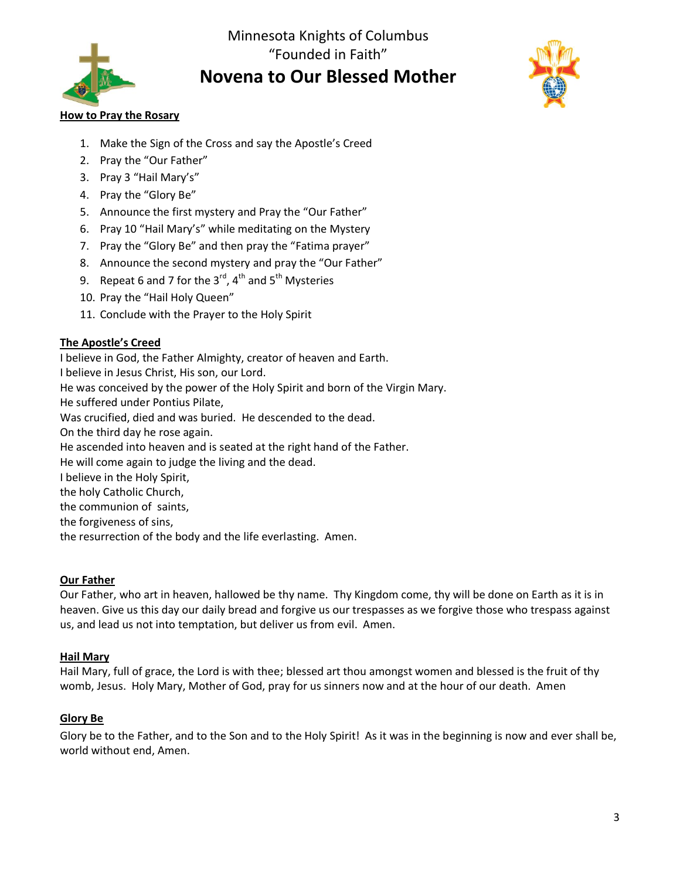

# Minnesota Knights of Columbus "Founded in Faith" **Novena to Our Blessed Mother**



## **How to Pray the Rosary**

- 1. Make the Sign of the Cross and say the Apostle's Creed
- 2. Pray the "Our Father"
- 3. Pray 3 "Hail Mary's"
- 4. Pray the "Glory Be"
- 5. Announce the first mystery and Pray the "Our Father"
- 6. Pray 10 "Hail Mary's" while meditating on the Mystery
- 7. Pray the "Glory Be" and then pray the "Fatima prayer"
- 8. Announce the second mystery and pray the "Our Father"
- 9. Repeat 6 and 7 for the  $3^{rd}$ ,  $4^{th}$  and  $5^{th}$  Mysteries
- 10. Pray the "Hail Holy Queen"
- 11. Conclude with the Prayer to the Holy Spirit

#### **The Apostle's Creed**

I believe in God, the Father Almighty, creator of heaven and Earth. I believe in Jesus Christ, His son, our Lord. He was conceived by the power of the Holy Spirit and born of the Virgin Mary. He suffered under Pontius Pilate, Was crucified, died and was buried. He descended to the dead. On the third day he rose again. He ascended into heaven and is seated at the right hand of the Father. He will come again to judge the living and the dead. I believe in the Holy Spirit, the holy Catholic Church, the communion of saints, the forgiveness of sins, the resurrection of the body and the life everlasting. Amen.

#### **Our Father**

Our Father, who art in heaven, hallowed be thy name. Thy Kingdom come, thy will be done on Earth as it is in heaven. Give us this day our daily bread and forgive us our trespasses as we forgive those who trespass against us, and lead us not into temptation, but deliver us from evil. Amen.

#### **Hail Mary**

Hail Mary, full of grace, the Lord is with thee; blessed art thou amongst women and blessed is the fruit of thy womb, Jesus. Holy Mary, Mother of God, pray for us sinners now and at the hour of our death. Amen

#### **Glory Be**

Glory be to the Father, and to the Son and to the Holy Spirit! As it was in the beginning is now and ever shall be, world without end, Amen.